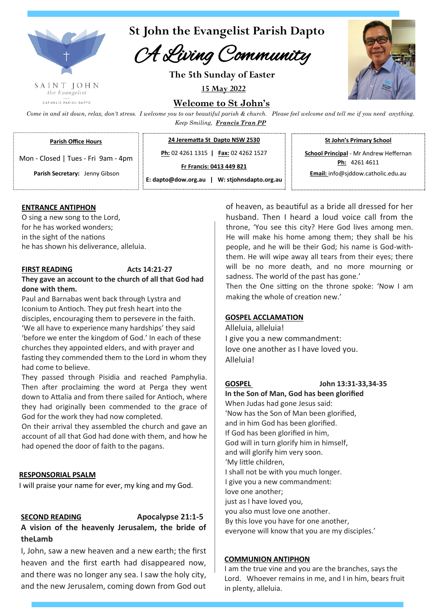

the Evangelist CATHOLIC PARISH DAPTO **St John the Evangelist Parish Dapto**

# A Living Community

**The 5th Sunday of Easter**

**15 May 2022**



**Welcome to St John's**

*Come in and sit down, relax, don't stress. I welcome you to our beautiful parish & church. Please feel welcome and tell me if you need anything. Keep Smiling, Francis Tran PP*

#### **Parish Office Hours**

Mon - Closed | Tues - Fri 9am - 4pm

**Parish Secretary:** Jenny Gibson

**Ph:** 02 4261 1315 **| Fax:** 02 4262 1527 **Fr Francis: 0413 449 821**

**24 Jerematta St Dapto NSW 2530**

**E: dapto@dow.org.au | W: stjohnsdapto.org.au**

**St John's Primary School**

**School Principal** - Mr Andrew Heffernan **Ph:** 4261 4611

**Email:** info@sjddow.catholic.edu.au 

# **ENTRANCE ANTIPHON**

O sing a new song to the Lord, for he has worked wonders; in the sight of the nations he has shown his deliverance, alleluia.

# **FIRST READING Acts 14:21-27**

**They gave an account to the church of all that God had done with them.**

Paul and Barnabas went back through Lystra and Iconium to Antioch. They put fresh heart into the disciples, encouraging them to persevere in the faith. 'We all have to experience many hardships' they said 'before we enter the kingdom of God.' In each of these churches they appointed elders, and with prayer and fasting they commended them to the Lord in whom they had come to believe.

They passed through Pisidia and reached Pamphylia. Then after proclaiming the word at Perga they went down to Attalia and from there sailed for Antioch, where they had originally been commended to the grace of God for the work they had now completed.

On their arrival they assembled the church and gave an account of all that God had done with them, and how he had opened the door of faith to the pagans.

# **RESPONSORIAL PSALM**

I will praise your name for ever, my king and my God.

# **SECOND READING Apocalypse 21:1-5**

**A vision of the heavenly Jerusalem, the bride of theLamb**

I, John, saw a new heaven and a new earth; the first heaven and the first earth had disappeared now, and there was no longer any sea. I saw the holy city, and the new Jerusalem, coming down from God out

of heaven, as beautiful as a bride all dressed for her husband. Then I heard a loud voice call from the throne, 'You see this city? Here God lives among men. He will make his home among them; they shall be his people, and he will be their God; his name is God-withthem. He will wipe away all tears from their eyes; there will be no more death, and no more mourning or sadness. The world of the past has gone.'

Then the One sitting on the throne spoke: 'Now I am making the whole of creation new.'

# **GOSPEL ACCLAMATION**

Alleluia, alleluia! I give you a new commandment: love one another as I have loved you. Alleluia!

**GOSPEL John 13:31-33,34-35**

**In the Son of Man, God has been glorified** When Judas had gone Jesus said: 'Now has the Son of Man been glorified, and in him God has been glorified. If God has been glorified in him, God will in turn glorify him in himself, and will glorify him very soon. 'My little children, I shall not be with you much longer. I give you a new commandment: love one another; just as I have loved you, you also must love one another. By this love you have for one another, everyone will know that you are my disciples.'

# **COMMUNION ANTIPHON**

I am the true vine and you are the branches, says the Lord. Whoever remains in me, and I in him, bears fruit in plenty, alleluia.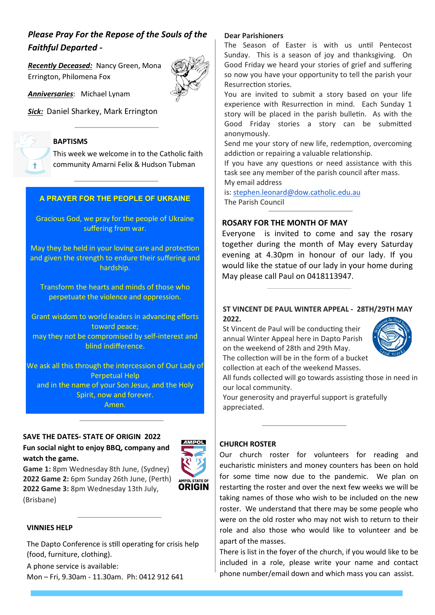# *Please Pray For the Repose of the Souls of the Faithful Departed -*

*Recently Deceased:*Nancy Green, Mona Errington, Philomena Fox



*Anniversaries*: Michael Lynam

*Sick:*Daniel Sharkey, Mark Errington

# **BAPTISMS**

This week we welcome in to the Catholic faith community Amarni Felix & Hudson Tubman

# **A PRAYER FOR THE PEOPLE OF UKRAINE**

Gracious God, we pray for the people of Ukraine suffering from war.

May they be held in your loving care and protection and given the strength to endure their suffering and hardship.

Transform the hearts and minds of those who perpetuate the violence and oppression.

Grant wisdom to world leaders in advancing efforts toward peace; may they not be compromised by self-interest and blind indifference.

We ask all this through the intercession of Our Lady of Perpetual Help and in the name of your Son Jesus, and the Holy Spirit, now and forever. Amen.

# **SAVE THE DATES- STATE OF ORIGIN 2022 Fun social night to enjoy BBQ, company and watch the game.**



**Game 1:** 8pm Wednesday 8th June, (Sydney) **2022 Game 2:** 6pm Sunday 26th June, (Perth) **2022 Game 3:** 8pm Wednesday 13th July, (Brisbane)

# **VINNIES HELP**

The Dapto Conference is still operating for crisis help (food, furniture, clothing).

A phone service is available: Mon – Fri, 9.30am - 11.30am. Ph: 0412 912 641

# **Dear Parishioners**

The Season of Easter is with us until Pentecost Sunday. This is a season of joy and thanksgiving. On Good Friday we heard your stories of grief and suffering so now you have your opportunity to tell the parish your Resurrection stories.

You are invited to submit a story based on your life experience with Resurrection in mind. Each Sunday 1 story will be placed in the parish bulletin. As with the Good Friday stories a story can be submitted anonymously.

Send me your story of new life, redemption, overcoming addiction or repairing a valuable relationship.

If you have any questions or need assistance with this task see any member of the parish council after mass. My email address

is: [stephen.leonard@dow.catholic.edu.au](mailto:stephen.leonard@dow.catholic.edu.au) The Parish Council

# **ROSARY FOR THE MONTH OF MAY**

Everyone is invited to come and say the rosary together during the month of May every Saturday evening at 4.30pm in honour of our lady. If you would like the statue of our lady in your home during May please call Paul on 0418113947.

# **ST VINCENT DE PAUL WINTER APPEAL - 28TH/29TH MAY 2022.**

St Vincent de Paul will be conducting their annual Winter Appeal here in Dapto Parish on the weekend of 28th and 29th May. The collection will be in the form of a bucket

collection at each of the weekend Masses.



All funds collected will go towards assisting those in need in our local community.

Your generosity and prayerful support is gratefully appreciated.

### **CHURCH ROSTER**

Our church roster for volunteers for reading and eucharistic ministers and money counters has been on hold for some time now due to the pandemic. We plan on restarting the roster and over the next few weeks we will be taking names of those who wish to be included on the new roster. We understand that there may be some people who were on the old roster who may not wish to return to their role and also those who would like to volunteer and be apart of the masses.

There is list in the foyer of the church, if you would like to be included in a role, please write your name and contact phone number/email down and which mass you can assist.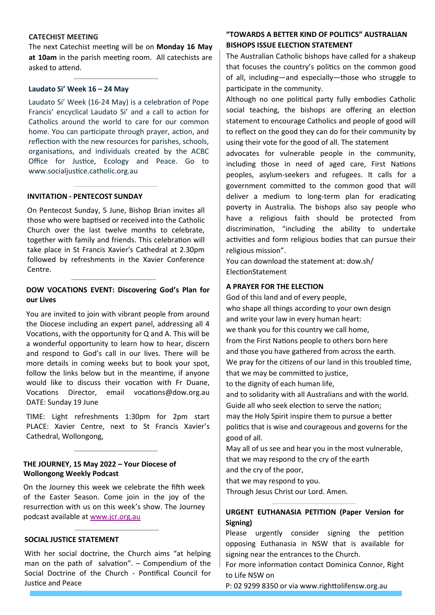#### **CATECHIST MEETING**

The next Catechist meeting will be on **Monday 16 May at 10am** in the parish meeting room. All catechists are asked to attend.

#### **Laudato Si' Week 16 – 24 May**

Laudato Si' Week (16-24 May) is a celebration of Pope Francis' encyclical Laudato Si' and a call to action for Catholics around the world to care for our common home. You can participate through prayer, action, and reflection with the new resources for parishes, schools, organisations, and individuals created by the ACBC Office for Justice, Ecology and Peace. Go to www.socialjustice.catholic.org.au

#### **INVITATION - PENTECOST SUNDAY**

On Pentecost Sunday, 5 June, Bishop Brian invites all those who were baptised or received into the Catholic Church over the last twelve months to celebrate, together with family and friends. This celebration will take place in St Francis Xavier's Cathedral at 2.30pm followed by refreshments in the Xavier Conference Centre.

### **DOW VOCATIONS EVENT: Discovering God's Plan for our Lives**

You are invited to join with vibrant people from around the Diocese including an expert panel, addressing all 4 Vocations, with the opportunity for Q and A. This will be a wonderful opportunity to learn how to hear, discern and respond to God's call in our lives. There will be more details in coming weeks but to book your spot, follow the links below but in the meantime, if anyone would like to discuss their vocation with Fr Duane, Vocations Director, email vocations@dow.org.au DATE: Sunday 19 June

TIME: Light refreshments 1:30pm for 2pm start PLACE: Xavier Centre, next to St Francis Xavier's Cathedral, Wollongong,

# **THE JOURNEY, 15 May 2022 – Your Diocese of Wollongong Weekly Podcast**

On the Journey this week we celebrate the fifth week of the Easter Season. Come join in the joy of the resurrection with us on this week's show. The Journey podcast available at [www.jcr.org.au](http://www.jcr.org.au)

# **SOCIAL JUSTICE STATEMENT**

With her social doctrine, the Church aims "at helping man on the path of salvation". – Compendium of the Social Doctrine of the Church - Pontifical Council for Justice and Peace

# **"TOWARDS A BETTER KIND OF POLITICS" AUSTRALIAN BISHOPS ISSUE ELECTION STATEMENT**

The Australian Catholic bishops have called for a shakeup that focuses the country's politics on the common good of all, including—and especially—those who struggle to participate in the community.

Although no one political party fully embodies Catholic social teaching, the bishops are offering an election statement to encourage Catholics and people of good will to reflect on the good they can do for their community by using their vote for the good of all. The statement

advocates for vulnerable people in the community, including those in need of aged care, First Nations peoples, asylum-seekers and refugees. It calls for a government committed to the common good that will deliver a medium to long-term plan for eradicating poverty in Australia. The bishops also say people who have a religious faith should be protected from discrimination, "including the ability to undertake activities and form religious bodies that can pursue their religious mission".

You can download the statement at: dow.sh/ ElectionStatement

# **A PRAYER FOR THE ELECTION**

God of this land and of every people, who shape all things according to your own design and write your law in every human heart: we thank you for this country we call home, from the First Nations people to others born here and those you have gathered from across the earth. We pray for the citizens of our land in this troubled time, that we may be committed to justice,

to the dignity of each human life,

and to solidarity with all Australians and with the world. Guide all who seek election to serve the nation; may the Holy Spirit inspire them to pursue a better

politics that is wise and courageous and governs for the good of all.

May all of us see and hear you in the most vulnerable, that we may respond to the cry of the earth and the cry of the poor,

that we may respond to you.

Through Jesus Christ our Lord. Amen.

# **URGENT EUTHANASIA PETITION (Paper Version for Signing)**

Please urgently consider signing the petition opposing Euthanasia in NSW that is available for signing near the entrances to the Church.

For more information contact Dominica Connor, Right to Life NSW on

P: 02 9299 8350 or via www.righttolifensw.org.au